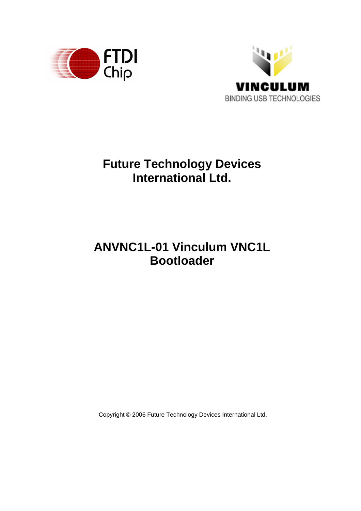



# **Future Technology Devices International Ltd.**

# **ANVNC1L-01 Vinculum VNC1L Bootloader**

Copyright © 2006 Future Technology Devices International Ltd.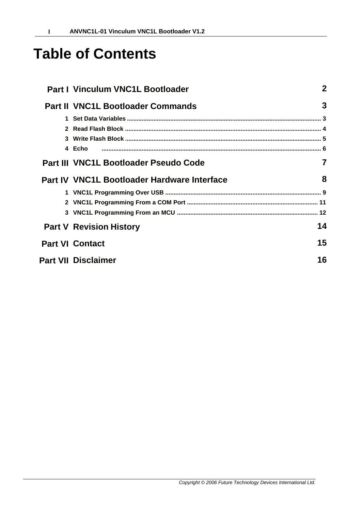# **Table of Contents**

| <b>Part I Vinculum VNC1L Bootloader</b>     | $\mathbf 2$ |
|---------------------------------------------|-------------|
| <b>Part II VNC1L Bootloader Commands</b>    | 3           |
|                                             |             |
| 4 Echo                                      |             |
| Part III VNC1L Bootloader Pseudo Code       |             |
| Part IV VNC1L Bootloader Hardware Interface | 8           |
|                                             |             |
| <b>Part V Revision History</b>              | 14          |
| <b>Part VI Contact</b>                      | 15          |
| <b>Part VII Disclaimer</b>                  | 16          |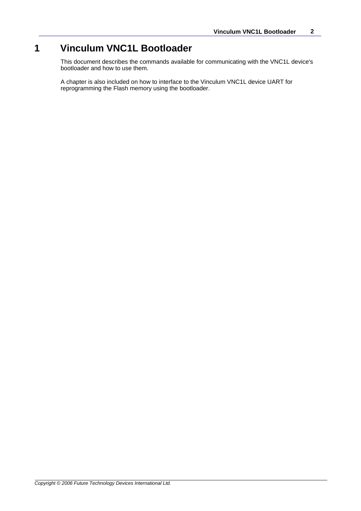# **1 Vinculum VNC1L Bootloader**

This document describes the commands available for communicating with the VNC1L device's bootloader and how to use them.

A chapter is also included on how to interface to the Vinculum VNC1L device UART for reprogramming the Flash memory using the bootloader.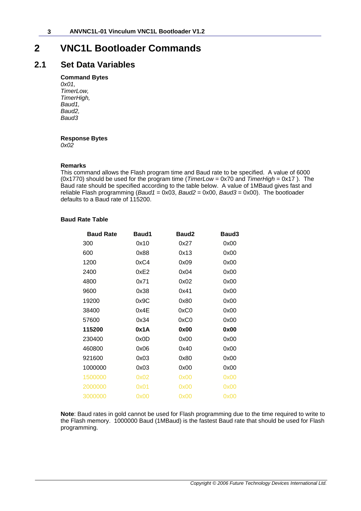## <span id="page-3-0"></span>**2 VNC1L Bootloader Commands**

### **2.1 Set Data Variables**

### **Command Bytes**

*0x01, TimerLow, TimerHigh, Baud1, Baud2, Baud3*

### **Response Bytes**

*0x02*

#### **Remarks**

This command allows the Flash program time and Baud rate to be specified. A value of 6000 (0x1770) should be used for the program time (*TimerLow* = 0x70 and *TimerHigh* = 0x17 ). The Baud rate should be specified according to the table below. A value of 1MBaud gives fast and reliable Flash programming (*Baud1* = 0x03, *Baud2* = 0x00, *Baud3* = 0x00). The bootloader defaults to a Baud rate of 115200.

#### **Baud Rate Table**

| <b>Baud Rate</b> | Baud1 | Baud2 | Baud <sub>3</sub> |
|------------------|-------|-------|-------------------|
| 300              | 0x10  | 0x27  | 0x00              |
| 600              | 0x88  | 0x13  | 0x00              |
| 1200             | 0xC4  | 0x09  | 0x00              |
| 2400             | 0xE2  | 0x04  | 0x00              |
| 4800             | 0x71  | 0x02  | 0x00              |
| 9600             | 0x38  | 0x41  | 0x00              |
| 19200            | 0x9C  | 0x80  | 0x00              |
| 38400            | 0x4E  | 0xC0  | 0x00              |
| 57600            | 0x34  | 0xC0  | 0x00              |
| 115200           | 0x1A  | 0x00  | 0x00              |
| 230400           | 0x0D  | 0x00  | 0x00              |
| 460800           | 0x06  | 0x40  | 0x00              |
| 921600           | 0x03  | 0x80  | 0x00              |
| 1000000          | 0x03  | 0x00  | 0x00              |
| 1500000          | 0x02  | 0x00  | 0x00              |
| 2000000          | 0x01  | 0x00  | 0x00              |
| 3000000          | 0x00  | 0x00  | 0x00              |

**Note**: Baud rates in gold cannot be used for Flash programming due to the time required to write to the Flash memory. 1000000 Baud (1MBaud) is the fastest Baud rate that should be used for Flash programming.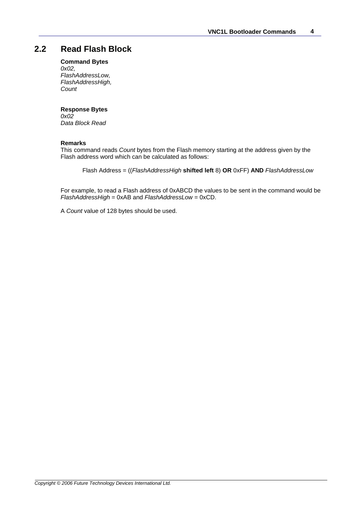### <span id="page-4-0"></span>**2.2 Read Flash Block**

### **Command Bytes**

*0x02, FlashAddressLow, FlashAddressHigh, Count*

### **Response Bytes**

*0x02 Data Block Read*

#### **Remarks**

This command reads *Count* bytes from the Flash memory starting at the address given by the Flash address word which can be calculated as follows:

Flash Address = ((*FlashAddressHigh* **shifted left** 8) **OR** 0xFF) **AND** *FlashAddressLow*

For example, to read a Flash address of 0xABCD the values to be sent in the command would be *FlashAddressHigh* = 0xAB and *FlashAddressLow* = 0xCD.

A *Count* value of 128 bytes should be used.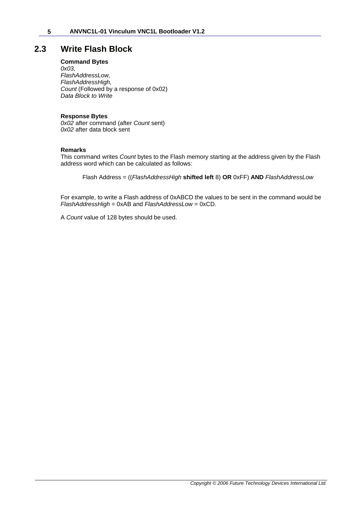### <span id="page-5-0"></span>**2.3 Write Flash Block**

### **Command Bytes**

*0x03, FlashAddressLow, FlashAddressHigh, Count* (Followed by a response of 0x02) *Data Block to Write*

### **Response Bytes**

*0x02* after command (after *Count* sent) *0x02* after data block sent

#### **Remarks**

This command writes *Count* bytes to the Flash memory starting at the address given by the Flash address word which can be calculated as follows:

Flash Address = ((*FlashAddressHigh* **shifted left** 8) **OR** 0xFF) **AND** *FlashAddressLow*

For example, to write a Flash address of 0xABCD the values to be sent in the command would be *FlashAddressHigh* = 0xAB and *FlashAddressLow* = 0xCD.

A *Count* value of 128 bytes should be used.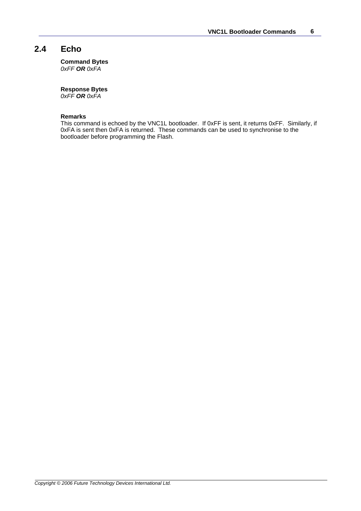### <span id="page-6-0"></span>**2.4 Echo**

**Command Bytes**

*0xFF OR 0xFA*

### **Response Bytes**

*0xFF OR 0xFA*

### **Remarks**

This command is echoed by the VNC1L bootloader. If 0xFF is sent, it returns 0xFF. Similarly, if 0xFA is sent then 0xFA is returned. These commands can be used to synchronise to the bootloader before programming the Flash.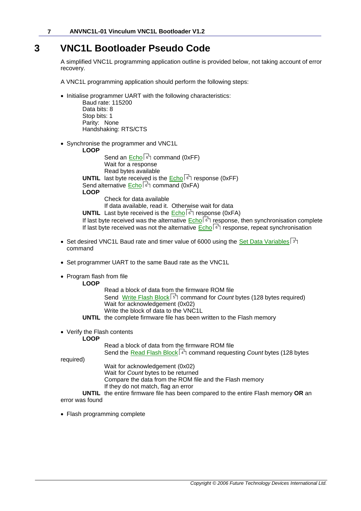## **3 VNC1L Bootloader Pseudo Code**

A simplified VNC1L programming application outline is provided below, not taking account of error recovery.

A VNC1L programming application should perform the following steps:

· Initialise programmer UART with the following characteristics:

Baud rate: 115200 Data bits: 8 Stop bits: 1 Parity: None Handshaking: RTS/CTS

- · Synchronise the programmer and VNC1L
	- **LOOP**

Send an [Echo](#page-6-0) command (0xFF) 6 Wait for a response Read bytes available **UNTIL** last byte received is the [Echo](#page-6-0)l 6 response (0xFF) Send alternative [Echo](#page-6-0) command (0xFA) 6 **LOOP** Check for data available

If data available, read it. Otherwise wait for data

**UNTIL** Last byte received is the [Echo](#page-6-0)l 6 response (0xFA)

If last byte received was the alternative <u>[Echo](#page-6-0)</u>l <sup>s</sup> response, then synchronisation complete If last byte received was not the alternative <u>Echo</u>l ो response, repeat synchronisation

- $\bullet~$  Set desired VNC1L Baud rate and timer value of 6000 using the <u>Set Data Variables</u> Is  $\uparrow$ command
- · Set programmer UART to the same Baud rate as the VNC1L
- · Program flash from file
	- **LOOP**

Read a block of data from the firmware ROM file Send [Write Flash Block](#page-5-0) 5th command for *Count* bytes (128 bytes required) Wait for acknowledgement (0x02) Write the block of data to the VNC1L **UNTIL** the complete firmware file has been written to the Flash memory

· Verify the Flash contents

**LOOP**

Read a block of data from the firmware ROM file

Send the <u>Read Flash Block</u>l 4 command requesting *Count* bytes (128 bytes

required)

Wait for acknowledgement (0x02)

Wait for *Count* bytes to be returned

Compare the data from the ROM file and the Flash memory

If they do not match, flag an error

**UNTIL** the entire firmware file has been compared to the entire Flash memory **OR** an error was found

· Flash programming complete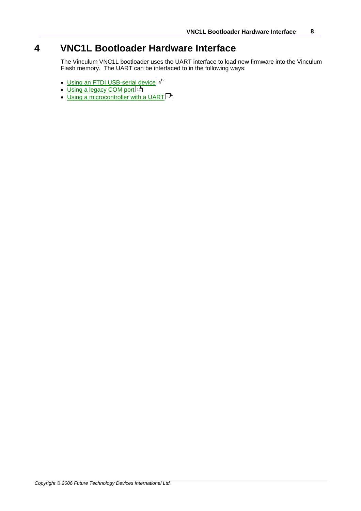## **4 VNC1L Bootloader Hardware Interface**

The Vinculum VNC1L bootloader uses the UART interface to load new firmware into the Vinculum Flash memory. The UART can be interfaced to in the following ways:

- $\bullet$  [Using an FTDI USB-serial device](#page-9-0) | ९ ी
- <u>[Using a legacy COM port](#page-11-0)</u> [11]
- $\bullet$  [Using a microcontroller with a UART](#page-12-0)  $\left| \cdot z \right|$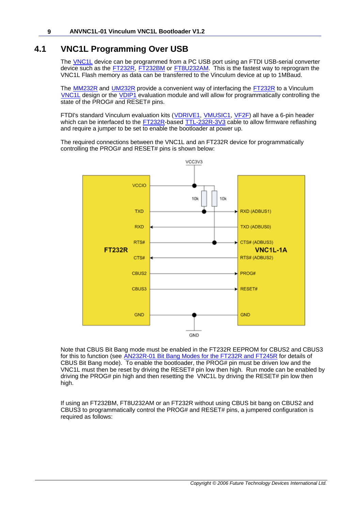### <span id="page-9-0"></span>**4.1 VNC1L Programming Over USB**

The **VNC1L** device can be programmed from a PC USB port using an FTDI USB-serial converter device such as the **FT232R, [FT232BM](http://www.ftdichip.com/Products/FT232BM.htm)** or **FT8U232AM**. This is the fastest way to reprogram the VNC1L Flash memory as data can be transferred to the Vinculum device at up to 1MBaud.

The [MM232R](http://www.ftdichip.com/Products/EvaluationKits/MM232R.htm) and [UM232R](http://www.ftdichip.com/Products/EvaluationKits/UM232R.htm) provide a convenient way of interfacing the [FT232R](http://www.ftdichip.com/Products/FT232R.htm) to a Vinculum [VNC1L](http://www.vinculum.com/prd_vnc1l.html) design or the [VDIP1](http://www.vinculum.com/prd_vdip1.html) evaluation module and will allow for programmatically controlling the state of the PROG# and RESET# pins.

FTDI's standard Vinculum evaluation kits [\(VDRIVE1](http://www.vinculum.com/prd_vdrive1.html), [VMUSIC1](http://www.vinculum.com/prd_vmusic1.html), [VF2F](http://www.vinculum.com/prd_vf2f.html)) all have a 6-pin header which can be interfaced to the [FT232R](http://www.ftdichip.com/Products/FT232R.htm)-based [TTL-232R-3V3](http://www.ftdichip.com/Products/EvaluationKits/TTL-232R-3V3.htm) cable to allow firmware reflashing and require a jumper to be set to enable the bootloader at power up.

The required connections between the VNC1L and an FT232R device for programmatically controlling the PROG# and RESET# pins is shown below:



Note that CBUS Bit Bang mode must be enabled in the FT232R EEPROM for CBUS2 and CBUS3 for this to function (see [AN232R-01 Bit Bang Modes for the FT232R and FT245R](http://www.ftdichip.com/Documents/AppNotes.htm) for details of CBUS Bit Bang mode). To enable the bootloader, the  $PROG#$  pin must be driven low and the VNC1L must then be reset by driving the RESET# pin low then high. Run mode can be enabled by driving the PROG# pin high and then resetting the VNC1L by driving the RESET# pin low then high.

If using an FT232BM, FT8U232AM or an FT232R without using CBUS bit bang on CBUS2 and CBUS3 to programmatically control the PROG# and RESET# pins, a jumpered configuration is required as follows: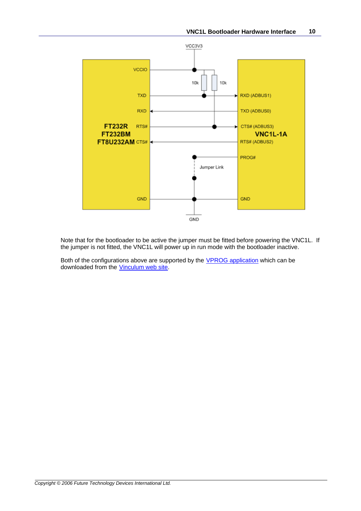

Note that for the bootloader to be active the jumper must be fitted before powering the VNC1L. If the jumper is not fitted, the VNC1L will power up in run mode with the bootloader inactive.

Both of the configurations above are supported by the **VPROG** application which can be downloaded from the [Vinculum web site](http://www.vinculum.com/downloads.html).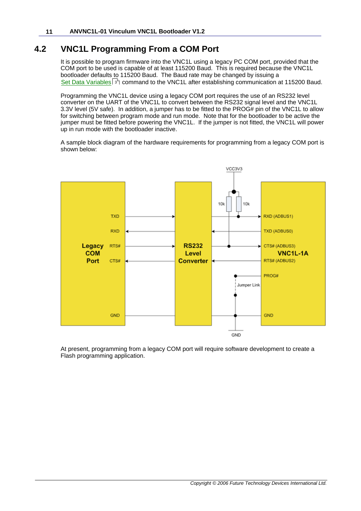### <span id="page-11-0"></span>**4.2 VNC1L Programming From a COM Port**

It is possible to program firmware into the VNC1L using a legacy PC COM port, provided that the COM port to be used is capable of at least 115200 Baud. This is required because the VNC1L bootloader defaults to 115200 Baud. The Baud rate may be changed by issuing a [Set Data Variables](#page-3-0) $|\circ$   $\rangle$  command to the VNC1L after establishing communication at 115200 Baud.

Programming the VNC1L device using a legacy COM port requires the use of an RS232 level converter on the UART of the VNC1L to convert between the RS232 signal level and the VNC1L 3.3V level (5V safe). In addition, a jumper has to be fitted to the PROG# pin of the VNC1L to allow for switching between program mode and run mode. Note that for the bootloader to be active the jumper must be fitted before powering the VNC1L. If the jumper is not fitted, the VNC1L will power up in run mode with the bootloader inactive.

A sample block diagram of the hardware requirements for programming from a legacy COM port is shown below:



At present, programming from a legacy COM port will require software development to create a Flash programming application.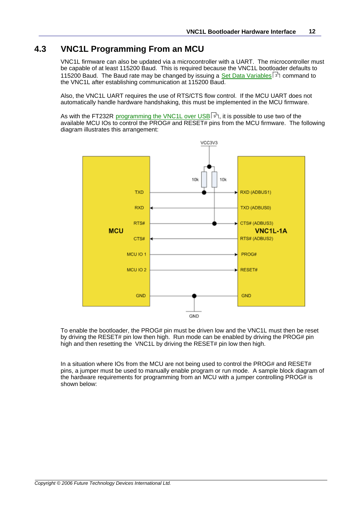### <span id="page-12-0"></span>**4.3 VNC1L Programming From an MCU**

VNC1L firmware can also be updated via a microcontroller with a UART. The microcontroller must be capable of at least 115200 Baud. This is required because the VNC1L bootloader defaults to 115200 Baud. The Baud rate may be changed by issuing a <u>Set Data Variables</u>  $\ket{\Phi}$  command to the VNC1L after establishing communication at 115200 Baud.

Also, the VNC1L UART requires the use of RTS/CTS flow control. If the MCU UART does not automatically handle hardware handshaking, this must be implemented in the MCU firmware.

As with the FT232R <u>programming the VNC1L over USB</u>I গী, it is possible to use two of the available MCU IOs to control the PROG# and RESET# pins from the MCU firmware. The following diagram illustrates this arrangement:



To enable the bootloader, the PROG# pin must be driven low and the VNC1L must then be reset by driving the RESET# pin low then high. Run mode can be enabled by driving the PROG# pin high and then resetting the VNC1L by driving the RESET# pin low then high.

In a situation where IOs from the MCU are not being used to control the PROG# and RESET# pins, a jumper must be used to manually enable program or run mode. A sample block diagram of the hardware requirements for programming from an MCU with a jumper controlling PROG# is shown below: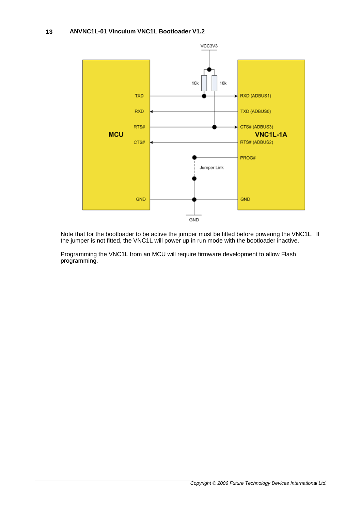

Note that for the bootloader to be active the jumper must be fitted before powering the VNC1L. If the jumper is not fitted, the VNC1L will power up in run mode with the bootloader inactive.

Programming the VNC1L from an MCU will require firmware development to allow Flash programming.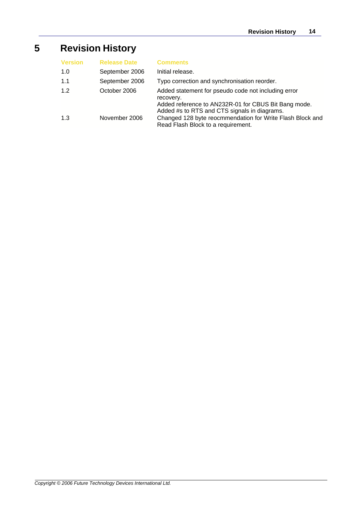# **5 Revision History**

| <b>Version</b> | <b>Release Date</b> | <b>Comments</b>                                                                                                                                                          |
|----------------|---------------------|--------------------------------------------------------------------------------------------------------------------------------------------------------------------------|
| 1.0            | September 2006      | Initial release.                                                                                                                                                         |
| 1.1            | September 2006      | Typo correction and synchronisation reorder.                                                                                                                             |
| 1.2            | October 2006        | Added statement for pseudo code not including error<br>recovery.<br>Added reference to AN232R-01 for CBUS Bit Bang mode.<br>Added #s to RTS and CTS signals in diagrams. |
| 1.3            | November 2006       | Changed 128 byte reocmmendation for Write Flash Block and<br>Read Flash Block to a requirement.                                                                          |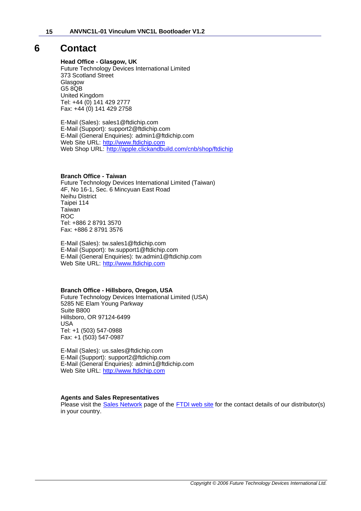### **6 Contact**

### **Head Office - Glasgow, UK**

Future Technology Devices International Limited 373 Scotland Street **Glasgow** G5 8QB United Kingdom Tel: +44 (0) 141 429 2777 Fax: +44 (0) 141 429 2758

E-Mail (Sales): sales1@ftdichip.com E-Mail (Support): support2@ftdichip.com E-Mail (General Enquiries): admin1@ftdichip.com Web Site URL: <http://www.ftdichip.com> Web Shop URL:<http://apple.clickandbuild.com/cnb/shop/ftdichip>

#### **Branch Office - Taiwan**

Future Technology Devices International Limited (Taiwan) 4F, No 16-1, Sec. 6 Mincyuan East Road Neihu District Taipei 114 Taiwan ROC Tel: +886 2 8791 3570 Fax: +886 2 8791 3576

E-Mail (Sales): tw.sales1@ftdichip.com E-Mail (Support): tw.support1@ftdichip.com E-Mail (General Enquiries): tw.admin1@ftdichip.com Web Site URL: <http://www.ftdichip.com>

#### **Branch Office - Hillsboro, Oregon, USA**

Future Technology Devices International Limited (USA) 5285 NE Elam Young Parkway Suite B800 Hillsboro, OR 97124-6499 USA Tel: +1 (503) 547-0988 Fax: +1 (503) 547-0987

E-Mail (Sales): us.sales@ftdichip.com E-Mail (Support): support2@ftdichip.com E-Mail (General Enquiries): admin1@ftdichip.com Web Site URL: <http://www.ftdichip.com>

#### **Agents and Sales Representatives**

Please visit the [Sales Network](http://www.ftdichip.com/FTSalesNetwork.htm) page of the [FTDI web site](http://www.ftdichip.com) for the contact details of our distributor(s) in your country.